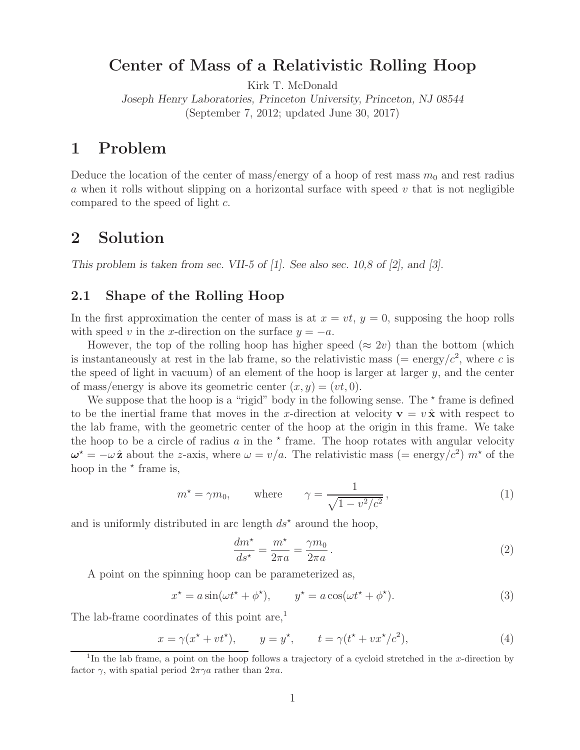# **Center of Mass of a Relativistic Rolling Hoop**

Kirk T. McDonald

*Joseph Henry Laboratories, Princeton University, Princeton, NJ 08544* (September 7, 2012; updated June 30, 2017)

# **1 Problem**

Deduce the location of the center of mass/energy of a hoop of rest mass  $m_0$  and rest radius a when it rolls without slipping on a horizontal surface with speed  $v$  that is not negligible compared to the speed of light c.

## **2 Solution**

*This problem is taken from sec. VII-5 of [1]. See also sec. 10,8 of [2], and [3].*

### **2.1 Shape of the Rolling Hoop**

In the first approximation the center of mass is at  $x = vt$ ,  $y = 0$ , supposing the hoop rolls with speed v in the x-direction on the surface  $y = -a$ .

However, the top of the rolling hoop has higher speed ( $\approx 2v$ ) than the bottom (which is instantaneously at rest in the lab frame, so the relativistic mass (= energy/ $c^2$ , where c is the speed of light in vacuum) of an element of the hoop is larger at larger  $y$ , and the center of mass/energy is above its geometric center  $(x, y) = (vt, 0)$ .

We suppose that the hoop is a "rigid" body in the following sense. The  $*$  frame is defined to be the inertial frame that moves in the x-direction at velocity  $\mathbf{v} = v \hat{\mathbf{x}}$  with respect to the lab frame, with the geometric center of the hoop at the origin in this frame. We take the hoop to be a circle of radius  $a$  in the  $\star$  frame. The hoop rotates with angular velocity  $\omega^* = -\omega \hat{\mathbf{z}}$  about the *z*-axis, where  $\omega = v/a$ . The relativistic mass (= energy/c<sup>2</sup>)  $m^*$  of the hoop in the  $*$  frame is,

$$
m^* = \gamma m_0, \qquad \text{where} \qquad \gamma = \frac{1}{\sqrt{1 - v^2/c^2}}, \tag{1}
$$

and is uniformly distributed in arc length  $ds^*$  around the hoop,

$$
\frac{dm^*}{ds^*} = \frac{m^*}{2\pi a} = \frac{\gamma m_0}{2\pi a} \,. \tag{2}
$$

A point on the spinning hoop can be parameterized as,

$$
x^* = a\sin(\omega t^* + \phi^*), \qquad y^* = a\cos(\omega t^* + \phi^*).
$$
 (3)

The lab-frame coordinates of this point are, $<sup>1</sup>$ </sup>

$$
x = \gamma(x^* + vt^*), \qquad y = y^*, \qquad t = \gamma(t^* + vx^*/c^2), \tag{4}
$$

<sup>&</sup>lt;sup>1</sup>In the lab frame, a point on the hoop follows a trajectory of a cycloid stretched in the x-direction by factor  $\gamma$ , with spatial period  $2\pi\gamma a$  rather than  $2\pi a$ .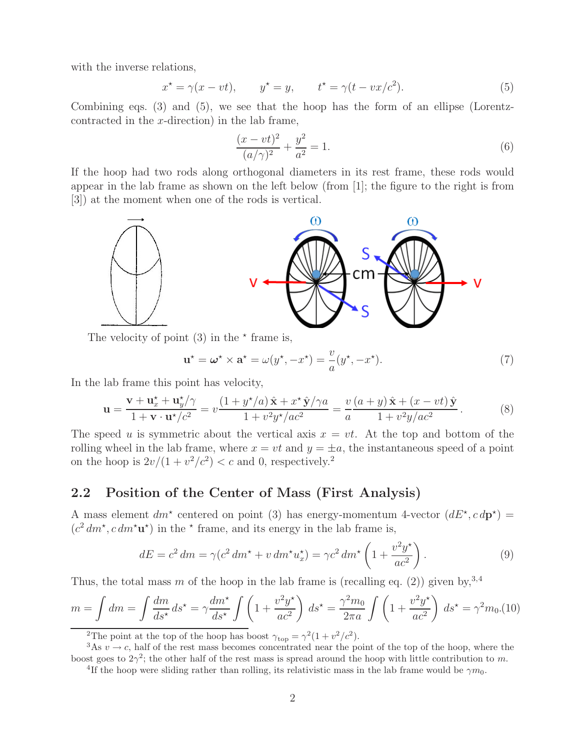with the inverse relations,

$$
x^* = \gamma(x - vt), \qquad y^* = y, \qquad t^* = \gamma(t - vx/c^2). \tag{5}
$$

Combining eqs. (3) and (5), we see that the hoop has the form of an ellipse (Lorentzcontracted in the  $x$ -direction) in the lab frame,

$$
\frac{(x - vt)^2}{(a/\gamma)^2} + \frac{y^2}{a^2} = 1.
$$
\n(6)

If the hoop had two rods along orthogonal diameters in its rest frame, these rods would appear in the lab frame as shown on the left below (from [1]; the figure to the right is from [3]) at the moment when one of the rods is vertical.



The velocity of point  $(3)$  in the  $*$  frame is,

$$
\mathbf{u}^* = \boldsymbol{\omega}^* \times \mathbf{a}^* = \omega(y^*, -x^*) = \frac{v}{a}(y^*, -x^*).
$$
 (7)

In the lab frame this point has velocity,

$$
\mathbf{u} = \frac{\mathbf{v} + \mathbf{u}_x^{\star} + \mathbf{u}_y^{\star}/\gamma}{1 + \mathbf{v} \cdot \mathbf{u}^{\star}/c^2} = v \frac{(1 + y^{\star}/a)\hat{\mathbf{x}} + x^{\star}\hat{\mathbf{y}}/\gamma a}{1 + v^2 y^{\star}/ac^2} = \frac{v}{a} \frac{(a + y)\hat{\mathbf{x}} + (x - vt)\hat{\mathbf{y}}}{1 + v^2 y/ac^2}.
$$
 (8)

The speed u is symmetric about the vertical axis  $x = vt$ . At the top and bottom of the rolling wheel in the lab frame, where  $x = vt$  and  $y = \pm a$ , the instantaneous speed of a point on the hoop is  $2v/(1 + v^2/c^2) < c$  and 0, respectively.<sup>2</sup>

#### **2.2 Position of the Center of Mass (First Analysis)**

A mass element  $dm^*$  centered on point (3) has energy-momentum 4-vector  $(dE^*, c\,dp^*)$  =  $(c^2 dm^{\star}, c dm^{\star} \mathbf{u}^{\star})$  in the  $^{\star}$  frame, and its energy in the lab frame is,

$$
dE = c^2 dm = \gamma (c^2 dm^* + v dm^* u_x^*) = \gamma c^2 dm^* \left( 1 + \frac{v^2 y^*}{ac^2} \right).
$$
 (9)

Thus, the total mass m of the hoop in the lab frame is (recalling eq. (2)) given by,<sup>3,4</sup>

$$
m = \int dm = \int \frac{dm}{ds^*} ds^* = \gamma \frac{dm^*}{ds^*} \int \left(1 + \frac{v^2 y^*}{ac^2}\right) ds^* = \frac{\gamma^2 m_0}{2\pi a} \int \left(1 + \frac{v^2 y^*}{ac^2}\right) ds^* = \gamma^2 m_0. (10)
$$

<sup>2</sup>The point at the top of the hoop has boost  $\gamma_{\text{top}} = \gamma^2 (1 + v^2/c^2)$ .

<sup>3</sup>As  $v \to c$ , half of the rest mass becomes concentrated near the point of the top of the hoop, where the boost goes to  $2\gamma^2$ ; the other half of the rest mass is spread around the hoop with little contribution to m.

<sup>&</sup>lt;sup>4</sup>If the hoop were sliding rather than rolling, its relativistic mass in the lab frame would be  $\gamma m_0$ .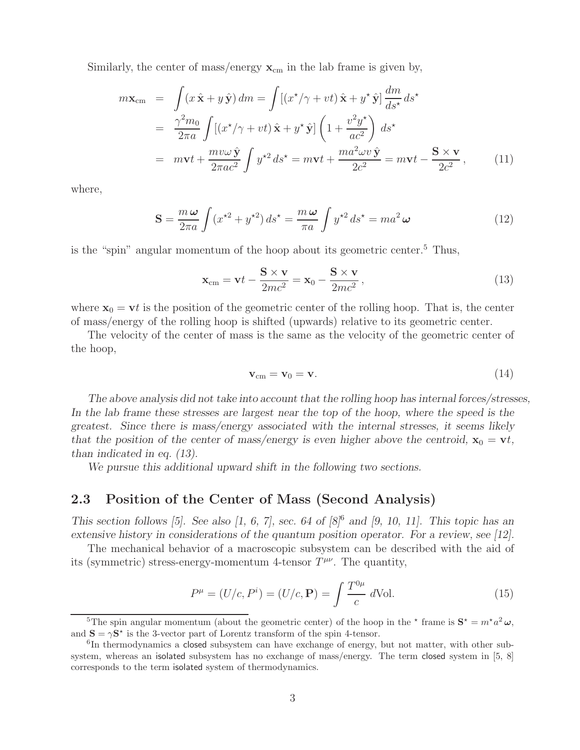Similarly, the center of mass/energy  $\mathbf{x}_{cm}$  in the lab frame is given by,

$$
m\mathbf{x}_{cm} = \int (x\,\hat{\mathbf{x}} + y\,\hat{\mathbf{y}}) \, dm = \int [(x^{\star}/\gamma + vt)\,\hat{\mathbf{x}} + y^{\star}\,\hat{\mathbf{y}}] \frac{dm}{ds^{\star}} \, ds^{\star}
$$
  
\n
$$
= \frac{\gamma^2 m_0}{2\pi a} \int [(x^{\star}/\gamma + vt)\,\hat{\mathbf{x}} + y^{\star}\,\hat{\mathbf{y}}] \left(1 + \frac{v^2 y^{\star}}{ac^2}\right) \, ds^{\star}
$$
  
\n
$$
= m\mathbf{v}t + \frac{m\nu\omega\,\hat{\mathbf{y}}}{2\pi ac^2} \int y^{\star 2} \, ds^{\star} = m\mathbf{v}t + \frac{ma^2\omega v\,\hat{\mathbf{y}}}{2c^2} = m\mathbf{v}t - \frac{\mathbf{S} \times \mathbf{v}}{2c^2}, \qquad (11)
$$

where,

$$
\mathbf{S} = \frac{m\,\omega}{2\pi a} \int (x^{\star 2} + y^{\star 2}) \, ds^{\star} = \frac{m\,\omega}{\pi a} \int y^{\star 2} \, ds^{\star} = m a^2 \,\omega \tag{12}
$$

is the "spin" angular momentum of the hoop about its geometric center.<sup>5</sup> Thus,

$$
\mathbf{x}_{cm} = \mathbf{v}t - \frac{\mathbf{S} \times \mathbf{v}}{2mc^2} = \mathbf{x}_0 - \frac{\mathbf{S} \times \mathbf{v}}{2mc^2},\tag{13}
$$

where  $x_0 = vt$  is the position of the geometric center of the rolling hoop. That is, the center of mass/energy of the rolling hoop is shifted (upwards) relative to its geometric center.

The velocity of the center of mass is the same as the velocity of the geometric center of the hoop,

$$
\mathbf{v}_{\rm cm} = \mathbf{v}_0 = \mathbf{v}.\tag{14}
$$

*The above analysis did not take into account that the rolling hoop has internal forces/stresses, In the lab frame these stresses are largest near the top of the hoop, where the speed is the greatest. Since there is mass/energy associated with the internal stresses, it seems likely that the position of the center of mass/energy is even higher above the centroid,*  $\mathbf{x}_0 = \mathbf{v}t$ , *than indicated in eq. (13).*

*We pursue this additional upward shift in the following two sections.*

### **2.3 Position of the Center of Mass (Second Analysis)**

*This section follows [5]. See also [1, 6, 7], sec. 64 of [8]*<sup>6</sup> *and [9, 10, 11]. This topic has an extensive history in considerations of the quantum position operator. For a review, see [12].*

The mechanical behavior of a macroscopic subsystem can be described with the aid of its (symmetric) stress-energy-momentum 4-tensor  $T^{\mu\nu}$ . The quantity,

$$
P^{\mu} = (U/c, P^{i}) = (U/c, \mathbf{P}) = \int \frac{T^{0\mu}}{c} d\text{Vol}.
$$
 (15)

<sup>&</sup>lt;sup>5</sup>The spin angular momentum (about the geometric center) of the hoop in the  $\star$  frame is  $S^{\star} = m^{\star} a^2 \omega$ , and  $S = \gamma S^*$  is the 3-vector part of Lorentz transform of the spin 4-tensor.

 ${}^{6}$ In thermodynamics a closed subsystem can have exchange of energy, but not matter, with other subsystem, whereas an isolated subsystem has no exchange of mass/energy. The term closed system in [5, 8] corresponds to the term isolated system of thermodynamics.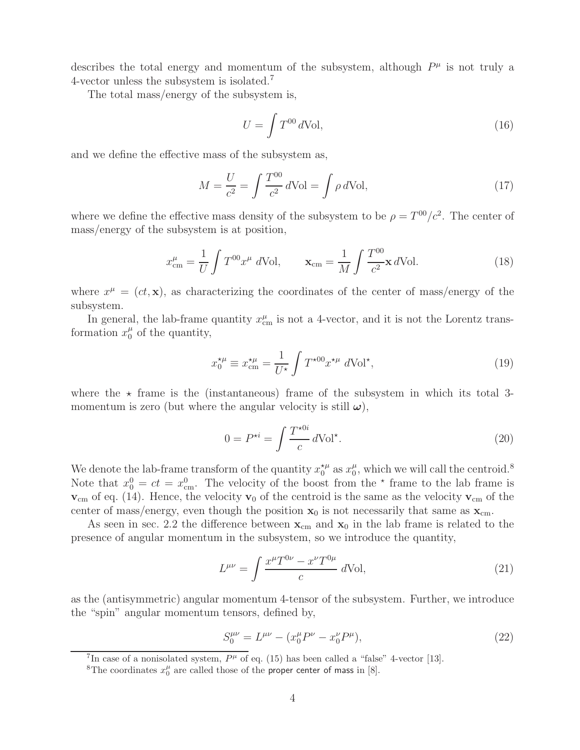describes the total energy and momentum of the subsystem, although  $P^{\mu}$  is not truly a 4-vector unless the subsystem is isolated.<sup>7</sup>

The total mass/energy of the subsystem is,

$$
U = \int T^{00} d\text{Vol},\tag{16}
$$

and we define the effective mass of the subsystem as,

$$
M = \frac{U}{c^2} = \int \frac{T^{00}}{c^2} d\text{Vol} = \int \rho d\text{Vol},\tag{17}
$$

where we define the effective mass density of the subsystem to be  $\rho = T^{00}/c^2$ . The center of mass/energy of the subsystem is at position,

$$
x_{\rm cm}^{\mu} = \frac{1}{U} \int T^{00} x^{\mu} d\text{Vol}, \qquad \mathbf{x}_{\rm cm} = \frac{1}{M} \int \frac{T^{00}}{c^2} \mathbf{x} d\text{Vol}. \tag{18}
$$

where  $x^{\mu} = (ct, \mathbf{x})$ , as characterizing the coordinates of the center of mass/energy of the subsystem.

In general, the lab-frame quantity  $x_{\text{cm}}^{\mu}$  is not a 4-vector, and it is not the Lorentz transformation  $x_0^{\mu}$  of the quantity,

$$
x_0^{\star \mu} \equiv x_{\rm cm}^{\star \mu} = \frac{1}{U^{\star}} \int T^{\star 00} x^{\star \mu} d\text{Vol}^{\star},\tag{19}
$$

where the  $\star$  frame is the (instantaneous) frame of the subsystem in which its total 3momentum is zero (but where the angular velocity is still  $\omega$ ),

$$
0 = P^{\star i} = \int \frac{T^{\star 0i}}{c} d\text{Vol}^{\star}.
$$
 (20)

We denote the lab-frame transform of the quantity  $x_0^{*\mu}$  as  $x_0^{\mu}$ , which we will call the centroid.<sup>8</sup> Note that  $x_0^0 = ct = x_{\text{cm}}^0$ . The velocity of the boost from the  $\star$  frame to the lab frame is  $v_{\text{cm}}$  of eq. (14). Hence, the velocity  $v_0$  of the centroid is the same as the velocity  $v_{\text{cm}}$  of the center of mass/energy, even though the position  $x_0$  is not necessarily that same as  $x_{cm}$ .

As seen in sec. 2.2 the difference between  $\mathbf{x}_{cm}$  and  $\mathbf{x}_0$  in the lab frame is related to the presence of angular momentum in the subsystem, so we introduce the quantity,

$$
L^{\mu\nu} = \int \frac{x^{\mu} T^{0\nu} - x^{\nu} T^{0\mu}}{c} d\text{Vol}, \qquad (21)
$$

as the (antisymmetric) angular momentum 4-tensor of the subsystem. Further, we introduce the "spin" angular momentum tensors, defined by,

$$
S_0^{\mu\nu} = L^{\mu\nu} - (x_0^{\mu} P^{\nu} - x_0^{\nu} P^{\mu}), \tag{22}
$$

<sup>&</sup>lt;sup>7</sup>In case of a nonisolated system,  $P^{\mu}$  of eq. (15) has been called a "false" 4-vector [13].

<sup>&</sup>lt;sup>8</sup>The coordinates  $x_0^{\mu}$  are called those of the proper center of mass in [8].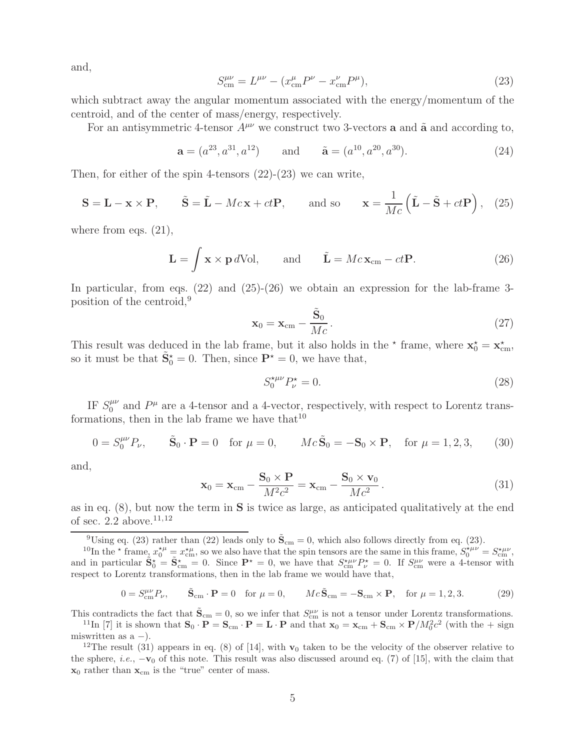and,

$$
S_{\rm cm}^{\mu\nu} = L^{\mu\nu} - (x_{\rm cm}^{\mu} P^{\nu} - x_{\rm cm}^{\nu} P^{\mu}), \tag{23}
$$

which subtract away the angular momentum associated with the energy/momentum of the centroid, and of the center of mass/energy, respectively.

For an antisymmetric 4-tensor  $A^{\mu\nu}$  we construct two 3-vectors **a** and **a** and according to,

$$
\mathbf{a} = (a^{23}, a^{31}, a^{12})
$$
 and  $\tilde{\mathbf{a}} = (a^{10}, a^{20}, a^{30}).$  (24)

Then, for either of the spin 4-tensors  $(22)-(23)$  we can write,

$$
\mathbf{S} = \mathbf{L} - \mathbf{x} \times \mathbf{P}, \qquad \tilde{\mathbf{S}} = \tilde{\mathbf{L}} - Mc\mathbf{x} + ct\mathbf{P}, \qquad \text{and so} \qquad \mathbf{x} = \frac{1}{Mc} (\tilde{\mathbf{L}} - \tilde{\mathbf{S}} + ct\mathbf{P}), \quad (25)
$$

where from eqs.  $(21)$ ,

$$
\mathbf{L} = \int \mathbf{x} \times \mathbf{p} \, d\text{Vol}, \qquad \text{and} \qquad \tilde{\mathbf{L}} = Mc\mathbf{x}_{cm} - ct\mathbf{P}.
$$
 (26)

In particular, from eqs.  $(22)$  and  $(25)-(26)$  we obtain an expression for the lab-frame 3position of the centroid,<sup>9</sup>

$$
\mathbf{x}_0 = \mathbf{x}_{cm} - \frac{\tilde{\mathbf{S}}_0}{Mc}.
$$
 (27)

This result was deduced in the lab frame, but it also holds in the  $*$  frame, where  $\mathbf{x}_0^* = \mathbf{x}_{cm}^*$ , so it must be that  $\tilde{\mathbf{S}}_0^* = 0$ . Then, since  $\mathbf{P}^* = 0$ , we have that,

$$
S_0^{*\mu\nu} P_\nu^* = 0. \tag{28}
$$

IF  $S_0^{\mu\nu}$  and  $P^{\mu}$  are a 4-tensor and a 4-vector, respectively, with respect to Lorentz transformations, then in the lab frame we have that  $10$ 

$$
0 = S_0^{\mu\nu} P_{\nu}, \qquad \tilde{\mathbf{S}}_0 \cdot \mathbf{P} = 0 \quad \text{for } \mu = 0, \qquad Mc\tilde{\mathbf{S}}_0 = -\mathbf{S}_0 \times \mathbf{P}, \quad \text{for } \mu = 1, 2, 3, \tag{30}
$$

and,

$$
\mathbf{x}_0 = \mathbf{x}_{cm} - \frac{\mathbf{S}_0 \times \mathbf{P}}{M^2 c^2} = \mathbf{x}_{cm} - \frac{\mathbf{S}_0 \times \mathbf{v}_0}{M c^2}.
$$
 (31)

as in eq. (8), but now the term in **S** is twice as large, as anticipated qualitatively at the end of sec. 2.2 above.<sup>11,12</sup>

<sup>9</sup>Using eq. (23) rather than (22) leads only to  $\tilde{\mathbf{S}}_{cm} = 0$ , which also follows directly from eq. (23).

<sup>10</sup>In the  $\star$  frame,  $x_0^{\star \mu} = x_{\text{cm}}^{\star \mu}$ , so we also have that the spin tensors are the same in this frame,  $S_0^{\star \mu \nu} = S_{\text{cm}}^{\star \mu \nu}$ , and in particular  $\tilde{\mathbf{S}}_0^* = \tilde{\mathbf{S}}_{cm}^* = 0$ . Since  $\mathbf{P}^* = 0$ , we have that  $S_{cm}^{\mu\nu} P_{\nu}^* = 0$ . If  $S_{cm}^{\mu\nu}$  were a 4-tensor with respect to Lorentz transformations, then in the lab frame we would have that,

$$
0 = S_{\text{cm}}^{\mu\nu} P_{\nu}, \qquad \tilde{\mathbf{S}}_{\text{cm}} \cdot \mathbf{P} = 0 \quad \text{for } \mu = 0, \qquad Mc\tilde{\mathbf{S}}_{\text{cm}} = -\mathbf{S}_{\text{cm}} \times \mathbf{P}, \quad \text{for } \mu = 1, 2, 3. \tag{29}
$$

This contradicts the fact that  $\tilde{\mathbf{S}}_{cm} = 0$ , so we infer that  $S_{cm}^{\mu\nu}$  is not a tensor under Lorentz transformations.

<sup>11</sup>In [7] it is shown that  $\mathbf{S}_0 \cdot \mathbf{P} = \mathbf{S}_{cm} \cdot \mathbf{P} = \mathbf{L} \cdot \mathbf{P}$  and that  $\mathbf{x}_0 = \mathbf{x}_{cm} + \mathbf{S}_{cm} \times \mathbf{P}/M_0^2 c^2$  (with the + sign miswritten as  $a -$ ).

<sup>12</sup>The result (31) appears in eq. (8) of [14], with  $\mathbf{v}_0$  taken to be the velocity of the observer relative to the sphere, *i.e.*,  $-\mathbf{v}_0$  of this note. This result was also discussed around eq. (7) of [15], with the claim that  $\mathbf{x}_0$  rather than  $\mathbf{x}_{cm}$  is the "true" center of mass.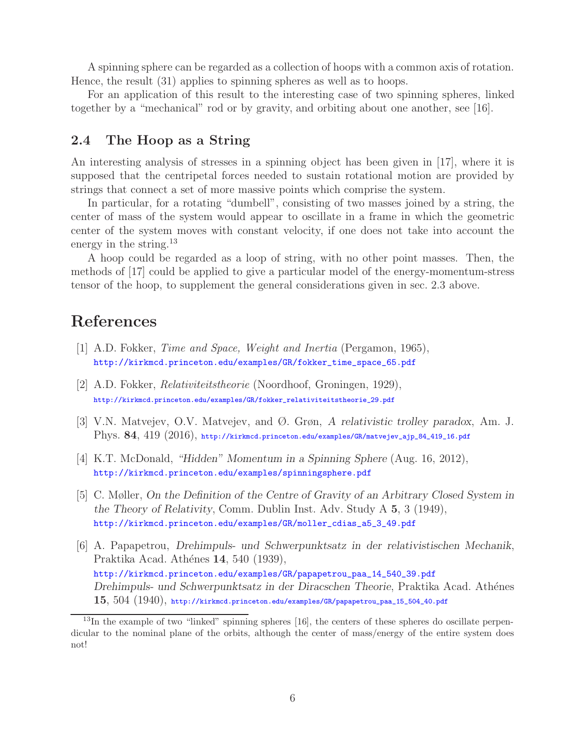A spinning sphere can be regarded as a collection of hoops with a common axis of rotation. Hence, the result (31) applies to spinning spheres as well as to hoops.

For an application of this result to the interesting case of two spinning spheres, linked together by a "mechanical" rod or by gravity, and orbiting about one another, see [16].

### **2.4 The Hoop as a String**

An interesting analysis of stresses in a spinning object has been given in [17], where it is supposed that the centripetal forces needed to sustain rotational motion are provided by strings that connect a set of more massive points which comprise the system.

In particular, for a rotating "dumbell", consisting of two masses joined by a string, the center of mass of the system would appear to oscillate in a frame in which the geometric center of the system moves with constant velocity, if one does not take into account the energy in the string.<sup>13</sup>

A hoop could be regarded as a loop of string, with no other point masses. Then, the methods of [17] could be applied to give a particular model of the energy-momentum-stress tensor of the hoop, to supplement the general considerations given in sec. 2.3 above.

# **References**

- [1] A.D. Fokker, *Time and Space, Weight and Inertia* (Pergamon, 1965), http://kirkmcd.princeton.edu/examples/GR/fokker\_time\_space\_65.pdf
- [2] A.D. Fokker, *Relativiteitstheorie* (Noordhoof, Groningen, 1929), http://kirkmcd.princeton.edu/examples/GR/fokker\_relativiteitstheorie\_29.pdf
- [3] V.N. Matvejev, O.V. Matvejev, and Ø. Grøn, *A relativistic trolley paradox*, Am. J. Phys. **84**, 419 (2016), http://kirkmcd.princeton.edu/examples/GR/matvejev\_ajp\_84\_419\_16.pdf
- [4] K.T. McDonald, *"Hidden" Momentum in a Spinning Sphere* (Aug. 16, 2012), http://kirkmcd.princeton.edu/examples/spinningsphere.pdf
- [5] C. Møller, *On the Definition of the Centre of Gravity of an Arbitrary Closed System in the Theory of Relativity*, Comm. Dublin Inst. Adv. Study A **5**, 3 (1949), http://kirkmcd.princeton.edu/examples/GR/moller\_cdias\_a5\_3\_49.pdf
- [6] A. Papapetrou, *Drehimpuls- und Schwerpunktsatz in der relativistischen Mechanik*, Praktika Acad. Ath´enes **14**, 540 (1939), http://kirkmcd.princeton.edu/examples/GR/papapetrou\_paa\_14\_540\_39.pdf *Drehimpuls- und Schwerpunktsatz in der Diracschen Theorie*, Praktika Acad. Athénes **15**, 504 (1940), http://kirkmcd.princeton.edu/examples/GR/papapetrou\_paa\_15\_504\_40.pdf

<sup>&</sup>lt;sup>13</sup>In the example of two "linked" spinning spheres [16], the centers of these spheres do oscillate perpendicular to the nominal plane of the orbits, although the center of mass/energy of the entire system does not!